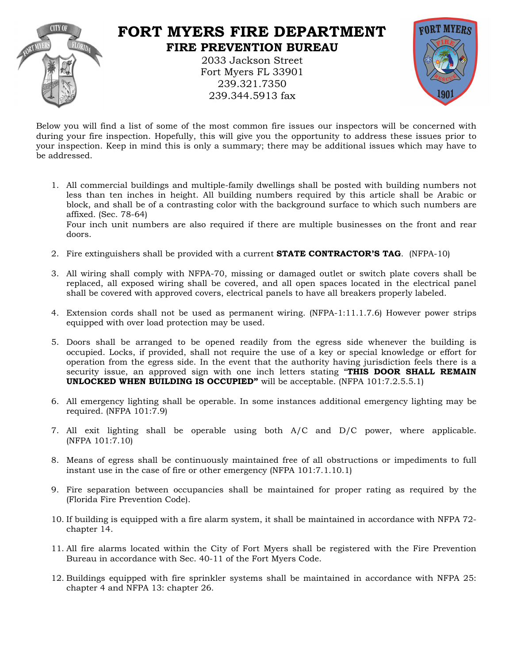

## **FORT MYERS FIRE DEPARTMENT FIRE PREVENTION BUREAU**

2033 Jackson Street Fort Myers FL 33901 239.321.7350 239.344.5913 fax



Below you will find a list of some of the most common fire issues our inspectors will be concerned with during your fire inspection. Hopefully, this will give you the opportunity to address these issues prior to your inspection. Keep in mind this is only a summary; there may be additional issues which may have to be addressed

- be addressed.<br>1. All commercial buildings and multiple-family dwellings shall be posted with building numbers not less than ten inches in height. All building numbers required by this article shall be Arabic or block, and shall be of a contrasting color with the background surface to which such numbers are affixed. (Sec. 78-64) Four inch unit numbers are also required if there are multiple businesses on the front and rear doors.
	- 2. Fire extinguishers shall be provided with a current **STATE CONTRACTOR'S TAG**. (NFPA-10)
	- 3. All wiring shall comply with NFPA-70, missing or damaged outlet or switch plate covers shall be replaced, all exposed wiring shall be covered, and all open spaces located in the electrical panel shall be covered with approved covers, electrical panels to have all breakers properly labeled.
	- 4. Extension ords shall not be used as permanent wiring. (NFPA-1:11.1.7.6) However power strips equipped with over load protection may be used.
	- 5. Doors shall be arranged to be opened readily from the egress side whenever the building is occupied. Locks, if provided, shall not require the use of a key or special knowledge or effort for operation from the egress side. In the event that the authority having jurisdiction feels there is a security issue, an approved sign with one inch letters stating "THIS DOOR SHALL REMAIN **UNLOCKED WHEN BUILDING IS OCCUPIED"** will be acceptable. (NFPA 101:7.2.5.5.1)
	- 6. All emergency lighting shall be operable. In some instances additional emergency lighting may be required. (NFPA 101:7.9)
	- 7. All exit lighting shall be operable using both  $A/C$  and  $D/C$  power, where applicable. (NFPA 101:7.10)
	- 8. Means of egress shall be continuously maintained free of all obstructions or impediments to full instant use in the case of fire or other emergency (NFPA  $101:7.1.10.1$ )
	- 9. Fire separation between occupancies shall be maintained for proper rating as required by the (Florida Fire Prevention Code).
	- 10. If building is equipped with a fire alarm system, it shall be maintained in accordance with NFPA 72-hapter 14.
	- 11. All fire alarms located within the City of Fort Myers shall be registered with the Fire Prevention Bureau in accordance with Sec. 40-11 of the Fort Myers Code.
	- 12. Buildings equipped with fire sprinkler systems shall be maintained in accordance with NFPA 25: chapter 4 and NFPA 13: chapter 26.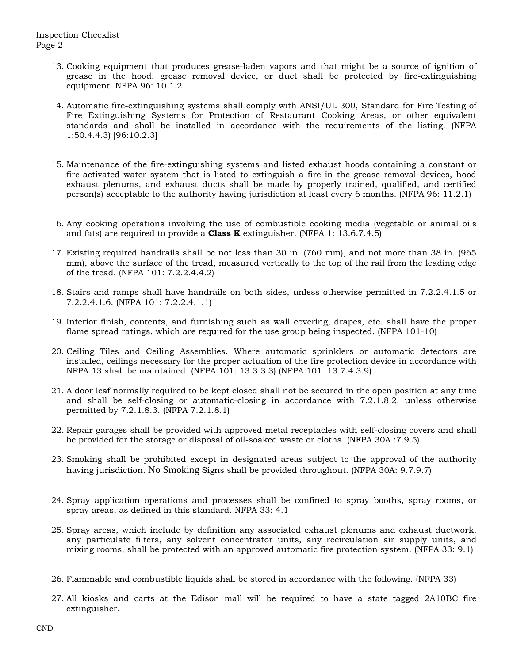- 13. Cooking equipment that produces grease-laden vapors and that might be a source of ignition of grease in the hood, grease removal device, or duct shall be protected by fire-extinguishing equipment. NFPA 96: 10.1.2
- 14. Automatic fire-extinguishing systems shall comply with ANSI/UL 300, Standard for Fire Testing of Fire Extinguishing Systems for Protection of Restaurant Cooking Areas, or other equivalent standards and shall be installed in accordance with the requirements of the listing. (NFPA 1:50.4.4.3) [96:10.2.3]
- 15. Maintenan e of the fire-extinguishing systems and listed exhaust hoods ontaining a onstant or fire-activated water system that is listed to extinguish a fire in the grease removal devices, hood exhaust plenums, and exhaust ducts shall be made by properly trained, qualified, and certified person(s) acceptable to the authority having jurisdiction at least every 6 months. (NFPA 96: 11.2.1)
- 16. Any ooking operations involving the use of ombustible ooking media (vegetable or animal oils and fats) are required to provide a **Class K** extinguisher. (NFPA 1: 13.6.7.4.5)
- 17. Existing required handrails shall be not less than 30 in. (760 mm), and not more than 38 in. (965 mm), above the surface of the tread, measured vertically to the top of the rail from the leading edge of the tread. (NFPA 101: 7.2.2.4.4.2)
- 18. Stairs and ramps shall have handrails on both sides, unless otherwise permitted in 7.2.2.4.1.5 or 7.2.2.4.1.6. (NFPA 101: 7.2.2.4.1.1)
- 19. Interior finish, contents, and furnishing such as wall covering, drapes, etc. shall have the proper flame spread ratings, which are required for the use group being inspected. (NFPA 101-10)
- 20. Ceiling Tiles and Ceiling Assemblies. Where automatic sprinklers or automatic detectors are installed, ceilings necessary for the proper actuation of the fire protection device in accordance with NFPA 13 shall be maintained. (NFPA 101: 13.3.3.3) (NFPA 101: 13.7.4.3.9)
- 21. A door leaf normally required to be kept closed shall not be secured in the open position at any time and shall be self-closing or automatic-closing in accordance with 7.2.1.8.2, unless otherwise permitted by 7.2.1.8.3. (NFPA 7.2.1.8.1)
- 22. Repair garages shall be provided with approved metal receptacles with self-closing covers and shall be provided for the storage or disposal of oil-soaked waste or loths. (NFPA 30A :7.9.5)
- 23. Smoking shall be prohibited except in designated areas subject to the approval of the authority having jurisdiction. No Smoking Signs shall be provided throughout. (NFPA 30A: 9.7.9.7)
- 24. Spray application operations and processes shall be confined to spray booths, spray rooms, or spray areas, as defined in this standard. NFPA 33: 4.1
- 25. Spray areas, which include by definition any associated exhaust plenums and exhaust ductwork, any particulate filters, any solvent concentrator units, any recirculation air supply units, and mixing rooms, shall be protected with an approved automatic fire protection system. (NFPA 33: 9.1)
- 26. Flammable and combustible liquids shall be stored in accordance with the following. (NFPA 33)
- 27. All kiosks and arts at the Edison mall will be required to have a state tagged 2A10BC fire extinguisher.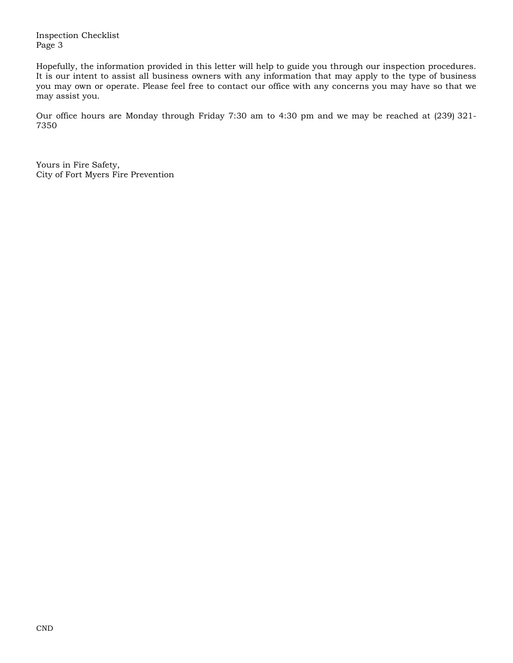Inspection Checklist Page 3

Hopefully, the information provided in this letter will help to guide you through our inspection procedures. It is our intent to assist all business owners with any information that may apply to the type of business you may own or operate. Please feel free to contact our office with any concerns you may have so that we may assist you.

Our office hours are Monday through Friday 7:30 am to 4:30 pm and we may be reached at (239) 321-7350

 Yours in Fire Safety, City of Fort Myers Fire Prevention